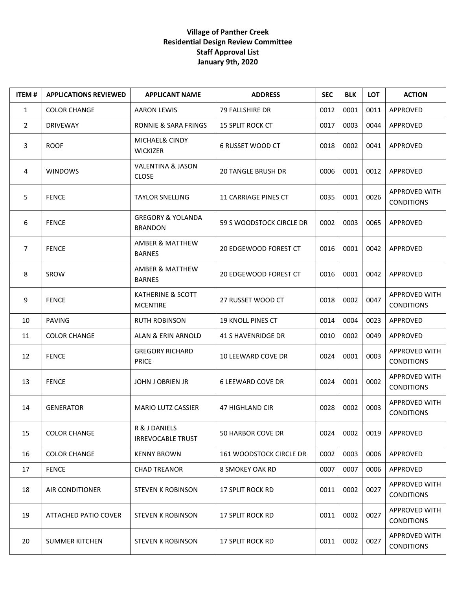## **Village of Panther Creek Residential Design Review Committee Staff Approval List January 9th, 2020**

| <b>ITEM#</b>   | <b>APPLICATIONS REVIEWED</b> | <b>APPLICANT NAME</b>                          | <b>ADDRESS</b>                 | <b>SEC</b> | <b>BLK</b> | <b>LOT</b> | <b>ACTION</b>                             |
|----------------|------------------------------|------------------------------------------------|--------------------------------|------------|------------|------------|-------------------------------------------|
| $\mathbf{1}$   | <b>COLOR CHANGE</b>          | <b>AARON LEWIS</b>                             | 79 FALLSHIRE DR                | 0012       | 0001       | 0011       | APPROVED                                  |
| $\overline{2}$ | <b>DRIVEWAY</b>              | <b>RONNIE &amp; SARA FRINGS</b>                | <b>15 SPLIT ROCK CT</b>        | 0017       | 0003       | 0044       | <b>APPROVED</b>                           |
| 3              | <b>ROOF</b>                  | MICHAEL& CINDY<br><b>WICKIZER</b>              | 6 RUSSET WOOD CT               | 0018       | 0002       | 0041       | APPROVED                                  |
| 4              | <b>WINDOWS</b>               | <b>VALENTINA &amp; JASON</b><br><b>CLOSE</b>   | <b>20 TANGLE BRUSH DR</b>      | 0006       | 0001       | 0012       | APPROVED                                  |
| 5              | <b>FENCE</b>                 | <b>TAYLOR SNELLING</b>                         | <b>11 CARRIAGE PINES CT</b>    | 0035       | 0001       | 0026       | APPROVED WITH<br><b>CONDITIONS</b>        |
| 6              | <b>FENCE</b>                 | <b>GREGORY &amp; YOLANDA</b><br><b>BRANDON</b> | 59 S WOODSTOCK CIRCLE DR       | 0002       | 0003       | 0065       | APPROVED                                  |
| 7              | <b>FENCE</b>                 | <b>AMBER &amp; MATTHEW</b><br><b>BARNES</b>    | <b>20 EDGEWOOD FOREST CT</b>   | 0016       | 0001       | 0042       | APPROVED                                  |
| 8              | SROW                         | AMBER & MATTHEW<br><b>BARNES</b>               | <b>20 EDGEWOOD FOREST CT</b>   | 0016       | 0001       | 0042       | APPROVED                                  |
| 9              | <b>FENCE</b>                 | KATHERINE & SCOTT<br><b>MCENTIRE</b>           | 27 RUSSET WOOD CT              | 0018       | 0002       | 0047       | APPROVED WITH<br><b>CONDITIONS</b>        |
| 10             | <b>PAVING</b>                | <b>RUTH ROBINSON</b>                           | <b>19 KNOLL PINES CT</b>       | 0014       | 0004       | 0023       | APPROVED                                  |
| 11             | <b>COLOR CHANGE</b>          | ALAN & ERIN ARNOLD                             | <b>41 S HAVENRIDGE DR</b>      | 0010       | 0002       | 0049       | APPROVED                                  |
| 12             | <b>FENCE</b>                 | <b>GREGORY RICHARD</b><br><b>PRICE</b>         | 10 LEEWARD COVE DR             | 0024       | 0001       | 0003       | APPROVED WITH<br><b>CONDITIONS</b>        |
| 13             | <b>FENCE</b>                 | <b>JOHN J OBRIEN JR</b>                        | <b>6 LEEWARD COVE DR</b>       | 0024       | 0001       | 0002       | APPROVED WITH<br><b>CONDITIONS</b>        |
| 14             | <b>GENERATOR</b>             | <b>MARIO LUTZ CASSIER</b>                      | 47 HIGHLAND CIR                | 0028       | 0002       | 0003       | APPROVED WITH<br><b>CONDITIONS</b>        |
| 15             | <b>COLOR CHANGE</b>          | R & J DANIELS<br><b>IRREVOCABLE TRUST</b>      | 50 HARBOR COVE DR              | 0024       | 0002       | 0019       | APPROVED                                  |
| 16             | <b>COLOR CHANGE</b>          | <b>KENNY BROWN</b>                             | <b>161 WOODSTOCK CIRCLE DR</b> | 0002       | 0003       | 0006       | APPROVED                                  |
| 17             | <b>FENCE</b>                 | <b>CHAD TREANOR</b>                            | 8 SMOKEY OAK RD                | 0007       | 0007       | 0006       | APPROVED                                  |
| 18             | AIR CONDITIONER              | <b>STEVEN K ROBINSON</b>                       | <b>17 SPLIT ROCK RD</b>        | 0011       | 0002       | 0027       | APPROVED WITH<br><b>CONDITIONS</b>        |
| 19             | ATTACHED PATIO COVER         | <b>STEVEN K ROBINSON</b>                       | <b>17 SPLIT ROCK RD</b>        | 0011       | 0002       | 0027       | <b>APPROVED WITH</b><br><b>CONDITIONS</b> |
| 20             | <b>SUMMER KITCHEN</b>        | <b>STEVEN K ROBINSON</b>                       | <b>17 SPLIT ROCK RD</b>        | 0011       | 0002       | 0027       | APPROVED WITH<br><b>CONDITIONS</b>        |